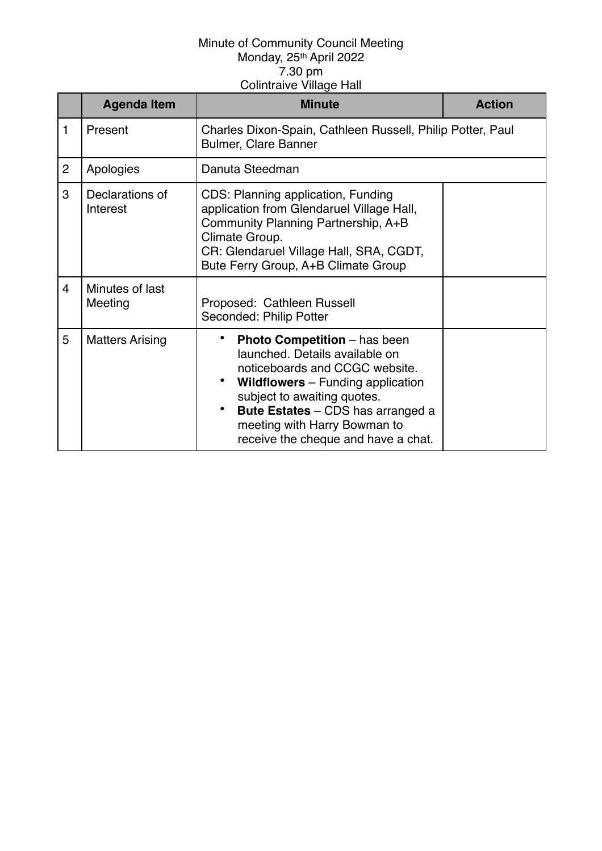|                | <b>Agenda Item</b>          | <b>Minute</b>                                                                                                                                                                                                                                                                                         | <b>Action</b> |
|----------------|-----------------------------|-------------------------------------------------------------------------------------------------------------------------------------------------------------------------------------------------------------------------------------------------------------------------------------------------------|---------------|
| 1              | Present                     | Charles Dixon-Spain, Cathleen Russell, Philip Potter, Paul<br><b>Bulmer, Clare Banner</b>                                                                                                                                                                                                             |               |
| $\overline{2}$ | Apologies                   | Danuta Steedman                                                                                                                                                                                                                                                                                       |               |
| 3              | Declarations of<br>Interest | CDS: Planning application, Funding<br>application from Glendaruel Village Hall,<br>Community Planning Partnership, A+B<br>Climate Group.<br>CR: Glendaruel Village Hall, SRA, CGDT,<br>Bute Ferry Group, A+B Climate Group                                                                            |               |
| $\overline{4}$ | Minutes of last<br>Meeting  | Proposed: Cathleen Russell<br>Seconded: Philip Potter                                                                                                                                                                                                                                                 |               |
| 5              | <b>Matters Arising</b>      | <b>Photo Competition</b> – has been<br>launched. Details available on<br>noticeboards and CCGC website.<br><b>Wildflowers</b> – Funding application<br>subject to awaiting quotes.<br><b>Bute Estates</b> – CDS has arranged a<br>meeting with Harry Bowman to<br>receive the cheque and have a chat. |               |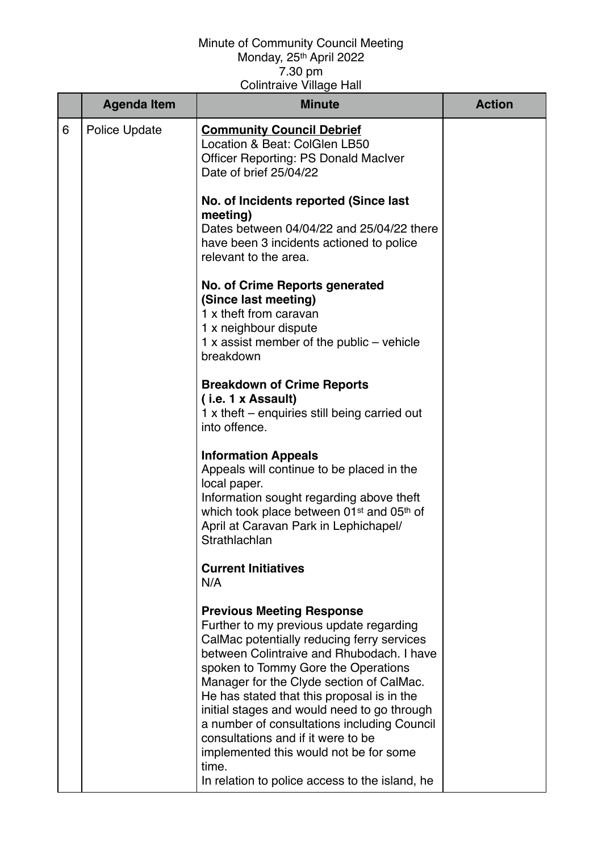|   | <b>Agenda Item</b> | <b>Minute</b>                                                                                                                                                                                                                                                                                                                                                                                                                                                                                                                                    | <b>Action</b> |
|---|--------------------|--------------------------------------------------------------------------------------------------------------------------------------------------------------------------------------------------------------------------------------------------------------------------------------------------------------------------------------------------------------------------------------------------------------------------------------------------------------------------------------------------------------------------------------------------|---------------|
| 6 | Police Update      | <b>Community Council Debrief</b><br>Location & Beat: ColGlen LB50<br><b>Officer Reporting: PS Donald MacIver</b><br>Date of brief 25/04/22                                                                                                                                                                                                                                                                                                                                                                                                       |               |
|   |                    | No. of Incidents reported (Since last<br>meeting)<br>Dates between 04/04/22 and 25/04/22 there<br>have been 3 incidents actioned to police<br>relevant to the area.                                                                                                                                                                                                                                                                                                                                                                              |               |
|   |                    | No. of Crime Reports generated<br>(Since last meeting)<br>1 x theft from caravan<br>1 x neighbour dispute<br>1 x assist member of the public $-$ vehicle<br>breakdown                                                                                                                                                                                                                                                                                                                                                                            |               |
|   |                    | <b>Breakdown of Crime Reports</b><br>(i.e. 1 x Assault)<br>1 x theft – enquiries still being carried out<br>into offence.                                                                                                                                                                                                                                                                                                                                                                                                                        |               |
|   |                    | <b>Information Appeals</b><br>Appeals will continue to be placed in the<br>local paper.<br>Information sought regarding above theft<br>which took place between 01 <sup>st</sup> and 05 <sup>th</sup> of<br>April at Caravan Park in Lephichapel/<br>Strathlachlan                                                                                                                                                                                                                                                                               |               |
|   |                    | <b>Current Initiatives</b><br>N/A                                                                                                                                                                                                                                                                                                                                                                                                                                                                                                                |               |
|   |                    | <b>Previous Meeting Response</b><br>Further to my previous update regarding<br>CalMac potentially reducing ferry services<br>between Colintraive and Rhubodach. I have<br>spoken to Tommy Gore the Operations<br>Manager for the Clyde section of CalMac.<br>He has stated that this proposal is in the<br>initial stages and would need to go through<br>a number of consultations including Council<br>consultations and if it were to be<br>implemented this would not be for some<br>time.<br>In relation to police access to the island, he |               |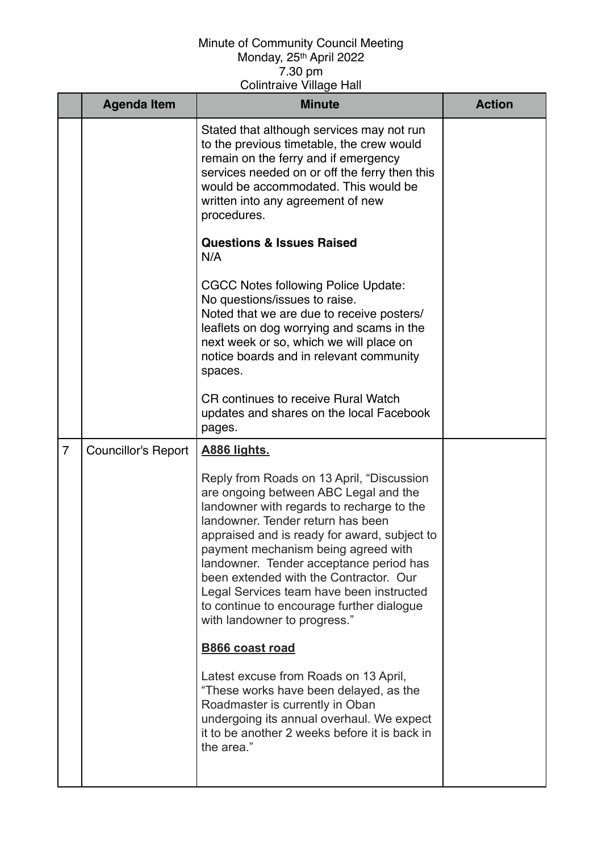|                | <b>Agenda Item</b>         | <b>Minute</b>                                                                                                                                                                                                                                                                                                                                                                                                                                                             | <b>Action</b> |
|----------------|----------------------------|---------------------------------------------------------------------------------------------------------------------------------------------------------------------------------------------------------------------------------------------------------------------------------------------------------------------------------------------------------------------------------------------------------------------------------------------------------------------------|---------------|
|                |                            | Stated that although services may not run<br>to the previous timetable, the crew would<br>remain on the ferry and if emergency<br>services needed on or off the ferry then this<br>would be accommodated. This would be<br>written into any agreement of new<br>procedures.                                                                                                                                                                                               |               |
|                |                            | <b>Questions &amp; Issues Raised</b><br>N/A                                                                                                                                                                                                                                                                                                                                                                                                                               |               |
|                |                            | <b>CGCC Notes following Police Update:</b><br>No questions/issues to raise.<br>Noted that we are due to receive posters/<br>leaflets on dog worrying and scams in the<br>next week or so, which we will place on<br>notice boards and in relevant community<br>spaces.                                                                                                                                                                                                    |               |
|                |                            | <b>CR</b> continues to receive Rural Watch<br>updates and shares on the local Facebook<br>pages.                                                                                                                                                                                                                                                                                                                                                                          |               |
| $\overline{7}$ | <b>Councillor's Report</b> | <u>A886 lights.</u>                                                                                                                                                                                                                                                                                                                                                                                                                                                       |               |
|                |                            | Reply from Roads on 13 April, "Discussion<br>are ongoing between ABC Legal and the<br>landowner with regards to recharge to the<br>landowner. Tender return has been<br>appraised and is ready for award, subject to<br>payment mechanism being agreed with<br>landowner. Tender acceptance period has<br>been extended with the Contractor. Our<br>Legal Services team have been instructed<br>to continue to encourage further dialogue<br>with landowner to progress." |               |
|                |                            | <b>B866 coast road</b>                                                                                                                                                                                                                                                                                                                                                                                                                                                    |               |
|                |                            | Latest excuse from Roads on 13 April,<br>"These works have been delayed, as the<br>Roadmaster is currently in Oban<br>undergoing its annual overhaul. We expect<br>it to be another 2 weeks before it is back in<br>the area."                                                                                                                                                                                                                                            |               |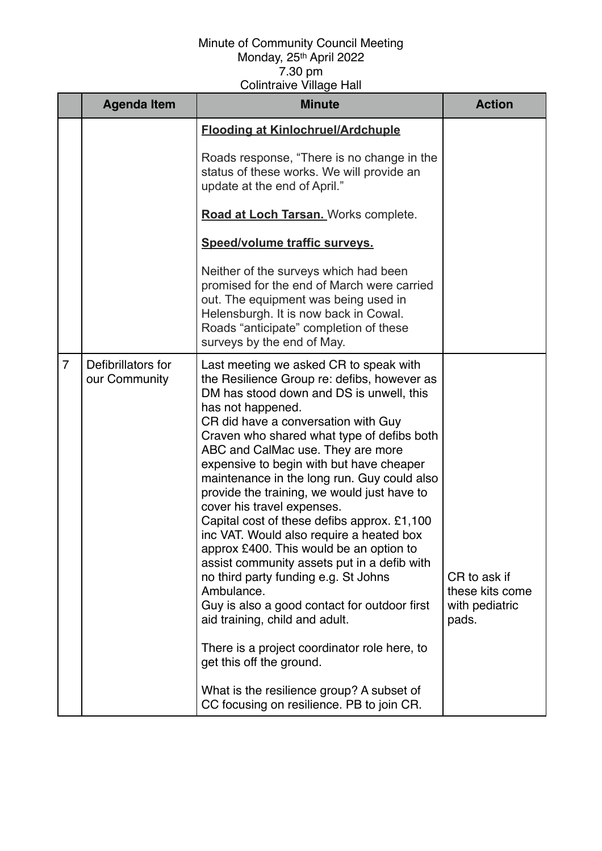|                | <b>Agenda Item</b>                  | <b>Minute</b>                                                                                                                                                                                                                                                                                                                                                                                                                                                                                                                                                                                                                                                                                                                                                                                                                                                                                                                                               | <b>Action</b>                                              |
|----------------|-------------------------------------|-------------------------------------------------------------------------------------------------------------------------------------------------------------------------------------------------------------------------------------------------------------------------------------------------------------------------------------------------------------------------------------------------------------------------------------------------------------------------------------------------------------------------------------------------------------------------------------------------------------------------------------------------------------------------------------------------------------------------------------------------------------------------------------------------------------------------------------------------------------------------------------------------------------------------------------------------------------|------------------------------------------------------------|
|                |                                     | <b>Flooding at Kinlochruel/Ardchuple</b>                                                                                                                                                                                                                                                                                                                                                                                                                                                                                                                                                                                                                                                                                                                                                                                                                                                                                                                    |                                                            |
|                |                                     | Roads response, "There is no change in the<br>status of these works. We will provide an<br>update at the end of April."                                                                                                                                                                                                                                                                                                                                                                                                                                                                                                                                                                                                                                                                                                                                                                                                                                     |                                                            |
|                |                                     | Road at Loch Tarsan. Works complete.                                                                                                                                                                                                                                                                                                                                                                                                                                                                                                                                                                                                                                                                                                                                                                                                                                                                                                                        |                                                            |
|                |                                     | Speed/volume traffic surveys.                                                                                                                                                                                                                                                                                                                                                                                                                                                                                                                                                                                                                                                                                                                                                                                                                                                                                                                               |                                                            |
|                |                                     | Neither of the surveys which had been<br>promised for the end of March were carried<br>out. The equipment was being used in<br>Helensburgh. It is now back in Cowal.<br>Roads "anticipate" completion of these<br>surveys by the end of May.                                                                                                                                                                                                                                                                                                                                                                                                                                                                                                                                                                                                                                                                                                                |                                                            |
| $\overline{7}$ | Defibrillators for<br>our Community | Last meeting we asked CR to speak with<br>the Resilience Group re: defibs, however as<br>DM has stood down and DS is unwell, this<br>has not happened.<br>CR did have a conversation with Guy<br>Craven who shared what type of defibs both<br>ABC and CalMac use. They are more<br>expensive to begin with but have cheaper<br>maintenance in the long run. Guy could also<br>provide the training, we would just have to<br>cover his travel expenses.<br>Capital cost of these defibs approx. £1,100<br>inc VAT. Would also require a heated box<br>approx £400. This would be an option to<br>assist community assets put in a defib with<br>no third party funding e.g. St Johns<br>Ambulance.<br>Guy is also a good contact for outdoor first<br>aid training, child and adult.<br>There is a project coordinator role here, to<br>get this off the ground.<br>What is the resilience group? A subset of<br>CC focusing on resilience. PB to join CR. | CR to ask if<br>these kits come<br>with pediatric<br>pads. |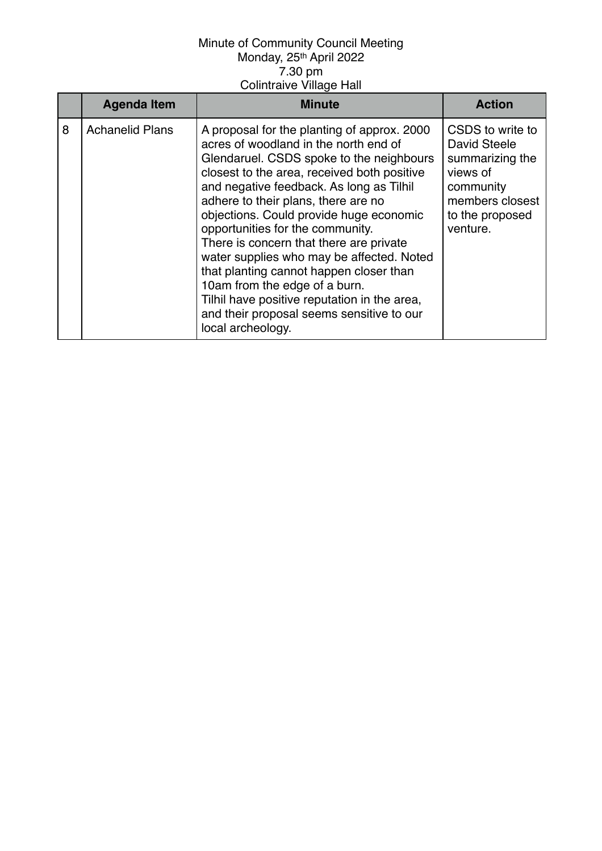|   | <b>Agenda Item</b>     | <b>Minute</b>                                                                                                                                                                                                                                                                                                                                                                                                                                                                                                                                                                                                                           | <b>Action</b>                                                                                                                         |
|---|------------------------|-----------------------------------------------------------------------------------------------------------------------------------------------------------------------------------------------------------------------------------------------------------------------------------------------------------------------------------------------------------------------------------------------------------------------------------------------------------------------------------------------------------------------------------------------------------------------------------------------------------------------------------------|---------------------------------------------------------------------------------------------------------------------------------------|
| 8 | <b>Achanelid Plans</b> | A proposal for the planting of approx. 2000<br>acres of woodland in the north end of<br>Glendaruel. CSDS spoke to the neighbours<br>closest to the area, received both positive<br>and negative feedback. As long as Tilhil<br>adhere to their plans, there are no<br>objections. Could provide huge economic<br>opportunities for the community.<br>There is concern that there are private<br>water supplies who may be affected. Noted<br>that planting cannot happen closer than<br>10am from the edge of a burn.<br>Tilhil have positive reputation in the area,<br>and their proposal seems sensitive to our<br>local archeology. | CSDS to write to<br><b>David Steele</b><br>summarizing the<br>views of<br>community<br>members closest<br>to the proposed<br>venture. |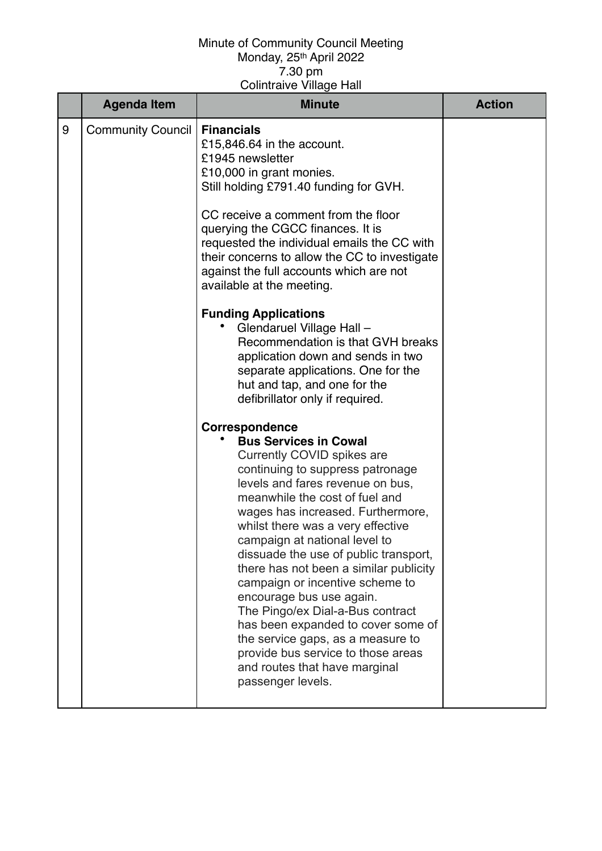|   | <b>Agenda Item</b>       | <b>Minute</b>                                                                                                                                                                                                                                                                                                                                                                                                                                                                                                                                                                                                                                                                                  | <b>Action</b> |
|---|--------------------------|------------------------------------------------------------------------------------------------------------------------------------------------------------------------------------------------------------------------------------------------------------------------------------------------------------------------------------------------------------------------------------------------------------------------------------------------------------------------------------------------------------------------------------------------------------------------------------------------------------------------------------------------------------------------------------------------|---------------|
| 9 | <b>Community Council</b> | <b>Financials</b><br>£15,846.64 in the account.<br>£1945 newsletter<br>£10,000 in grant monies.<br>Still holding £791.40 funding for GVH.<br>CC receive a comment from the floor<br>querying the CGCC finances. It is<br>requested the individual emails the CC with<br>their concerns to allow the CC to investigate<br>against the full accounts which are not<br>available at the meeting.<br><b>Funding Applications</b><br>Glendaruel Village Hall -<br>Recommendation is that GVH breaks<br>application down and sends in two<br>separate applications. One for the<br>hut and tap, and one for the<br>defibrillator only if required.<br>Correspondence<br><b>Bus Services in Cowal</b> |               |
|   |                          | Currently COVID spikes are<br>continuing to suppress patronage<br>levels and fares revenue on bus,<br>meanwhile the cost of fuel and<br>wages has increased. Furthermore,<br>whilst there was a very effective<br>campaign at national level to<br>dissuade the use of public transport,<br>there has not been a similar publicity<br>campaign or incentive scheme to<br>encourage bus use again.<br>The Pingo/ex Dial-a-Bus contract<br>has been expanded to cover some of<br>the service gaps, as a measure to<br>provide bus service to those areas<br>and routes that have marginal<br>passenger levels.                                                                                   |               |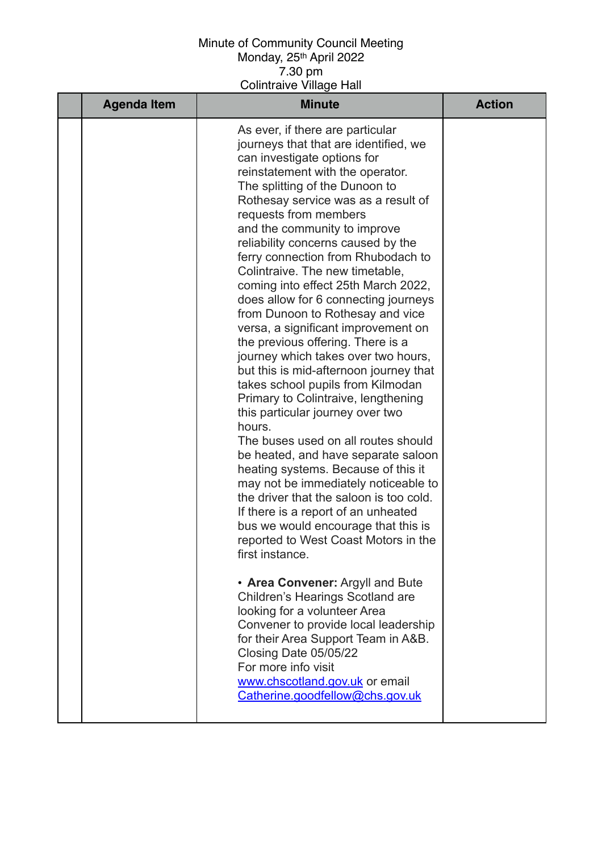| <b>Agenda Item</b> | <b>Minute</b>                                                                                                                                                                                                                                                                                                                                                                                                                                                                                                                                                                                                                                                                                                                                                                                                                                                                                                                                                                                                                                                                                                                                                                                                                                                                                                                                                                                                                                                        | <b>Action</b> |
|--------------------|----------------------------------------------------------------------------------------------------------------------------------------------------------------------------------------------------------------------------------------------------------------------------------------------------------------------------------------------------------------------------------------------------------------------------------------------------------------------------------------------------------------------------------------------------------------------------------------------------------------------------------------------------------------------------------------------------------------------------------------------------------------------------------------------------------------------------------------------------------------------------------------------------------------------------------------------------------------------------------------------------------------------------------------------------------------------------------------------------------------------------------------------------------------------------------------------------------------------------------------------------------------------------------------------------------------------------------------------------------------------------------------------------------------------------------------------------------------------|---------------|
|                    | As ever, if there are particular<br>journeys that that are identified, we<br>can investigate options for<br>reinstatement with the operator.<br>The splitting of the Dunoon to<br>Rothesay service was as a result of<br>requests from members<br>and the community to improve<br>reliability concerns caused by the<br>ferry connection from Rhubodach to<br>Colintraive. The new timetable,<br>coming into effect 25th March 2022,<br>does allow for 6 connecting journeys<br>from Dunoon to Rothesay and vice<br>versa, a significant improvement on<br>the previous offering. There is a<br>journey which takes over two hours,<br>but this is mid-afternoon journey that<br>takes school pupils from Kilmodan<br>Primary to Colintraive, lengthening<br>this particular journey over two<br>hours.<br>The buses used on all routes should<br>be heated, and have separate saloon<br>heating systems. Because of this it<br>may not be immediately noticeable to<br>the driver that the saloon is too cold.<br>If there is a report of an unheated<br>bus we would encourage that this is<br>reported to West Coast Motors in the<br>first instance.<br>• Area Convener: Argyll and Bute<br>Children's Hearings Scotland are<br>looking for a volunteer Area<br>Convener to provide local leadership<br>for their Area Support Team in A&B.<br>Closing Date 05/05/22<br>For more info visit<br>www.chscotland.gov.uk or email<br>Catherine.goodfellow@chs.gov.uk |               |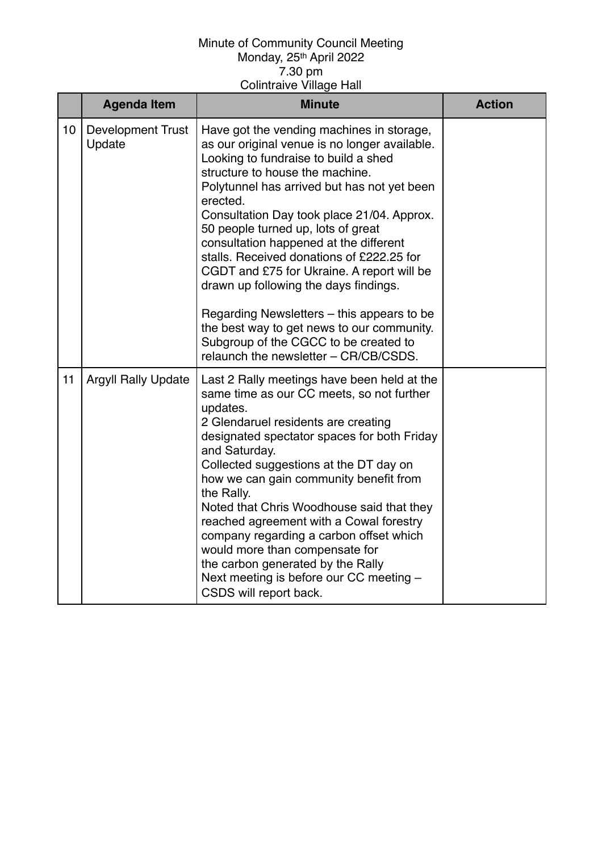|    | <b>Agenda Item</b>                 | <b>Minute</b>                                                                                                                                                                                                                                                                                                                                                                                                                                                                                                                                                                                                                                                                    | <b>Action</b> |
|----|------------------------------------|----------------------------------------------------------------------------------------------------------------------------------------------------------------------------------------------------------------------------------------------------------------------------------------------------------------------------------------------------------------------------------------------------------------------------------------------------------------------------------------------------------------------------------------------------------------------------------------------------------------------------------------------------------------------------------|---------------|
| 10 | <b>Development Trust</b><br>Update | Have got the vending machines in storage,<br>as our original venue is no longer available.<br>Looking to fundraise to build a shed<br>structure to house the machine.<br>Polytunnel has arrived but has not yet been<br>erected.<br>Consultation Day took place 21/04. Approx.<br>50 people turned up, lots of great<br>consultation happened at the different<br>stalls. Received donations of £222.25 for<br>CGDT and £75 for Ukraine. A report will be<br>drawn up following the days findings.<br>Regarding Newsletters – this appears to be<br>the best way to get news to our community.<br>Subgroup of the CGCC to be created to<br>relaunch the newsletter - CR/CB/CSDS. |               |
| 11 | <b>Argyll Rally Update</b>         | Last 2 Rally meetings have been held at the<br>same time as our CC meets, so not further<br>updates.<br>2 Glendaruel residents are creating<br>designated spectator spaces for both Friday<br>and Saturday.<br>Collected suggestions at the DT day on<br>how we can gain community benefit from<br>the Rally.<br>Noted that Chris Woodhouse said that they<br>reached agreement with a Cowal forestry<br>company regarding a carbon offset which<br>would more than compensate for<br>the carbon generated by the Rally<br>Next meeting is before our CC meeting -<br>CSDS will report back.                                                                                     |               |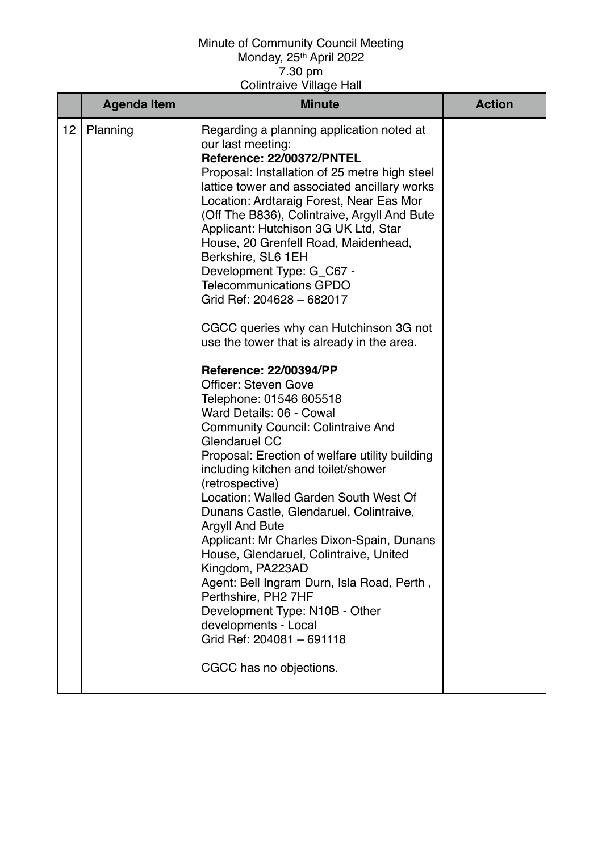|    | <b>Agenda Item</b> | <b>Minute</b>                                                                                                                                                                                                                                                                                                                                                                                                                                                                                                                                                                                                                                                                                                                                                                                                                                                                                                                                                                                                                                                                                                                                                                                                                                                                                       | <b>Action</b> |
|----|--------------------|-----------------------------------------------------------------------------------------------------------------------------------------------------------------------------------------------------------------------------------------------------------------------------------------------------------------------------------------------------------------------------------------------------------------------------------------------------------------------------------------------------------------------------------------------------------------------------------------------------------------------------------------------------------------------------------------------------------------------------------------------------------------------------------------------------------------------------------------------------------------------------------------------------------------------------------------------------------------------------------------------------------------------------------------------------------------------------------------------------------------------------------------------------------------------------------------------------------------------------------------------------------------------------------------------------|---------------|
| 12 | Planning           | Regarding a planning application noted at<br>our last meeting:<br>Reference: 22/00372/PNTEL<br>Proposal: Installation of 25 metre high steel<br>lattice tower and associated ancillary works<br>Location: Ardtaraig Forest, Near Eas Mor<br>(Off The B836), Colintraive, Argyll And Bute<br>Applicant: Hutchison 3G UK Ltd, Star<br>House, 20 Grenfell Road, Maidenhead,<br>Berkshire, SL6 1EH<br>Development Type: G_C67 -<br><b>Telecommunications GPDO</b><br>Grid Ref: 204628 - 682017<br>CGCC queries why can Hutchinson 3G not<br>use the tower that is already in the area.<br><b>Reference: 22/00394/PP</b><br><b>Officer: Steven Gove</b><br>Telephone: 01546 605518<br>Ward Details: 06 - Cowal<br><b>Community Council: Colintraive And</b><br>Glendaruel CC<br>Proposal: Erection of welfare utility building<br>including kitchen and toilet/shower<br>(retrospective)<br>Location: Walled Garden South West Of<br>Dunans Castle, Glendaruel, Colintraive,<br><b>Argyll And Bute</b><br>Applicant: Mr Charles Dixon-Spain, Dunans<br>House, Glendaruel, Colintraive, United<br>Kingdom, PA223AD<br>Agent: Bell Ingram Durn, Isla Road, Perth,<br>Perthshire, PH2 7HF<br>Development Type: N10B - Other<br>developments - Local<br>Grid Ref: 204081 - 691118<br>CGCC has no objections. |               |